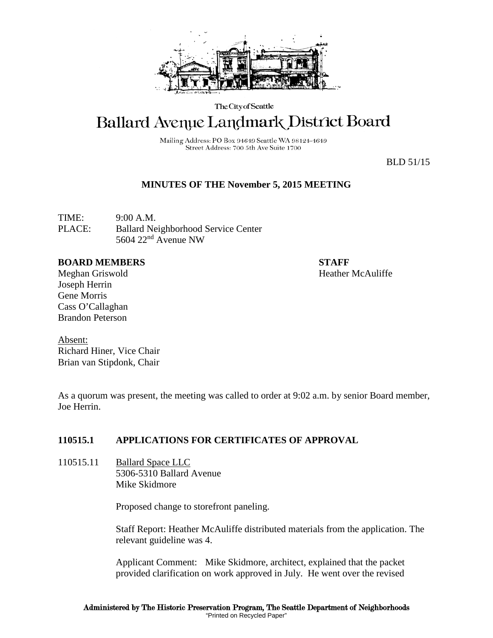

The City of Seattle

# Ballard Avenue Landmark District Board

Mailing Address: PO Box 94649 Seattle WA 98124-4649 Street Address: 700 5th Ave Suite 1700

BLD 51/15

## **MINUTES OF THE November 5, 2015 MEETING**

TIME: 9:00 A.M. PLACE: Ballard Neighborhood Service Center 5604 22nd Avenue NW

#### **BOARD MEMBERS STAFF**

Meghan Griswold Heather McAuliffe Joseph Herrin Gene Morris Cass O'Callaghan Brandon Peterson

Absent: Richard Hiner, Vice Chair Brian van Stipdonk, Chair

As a quorum was present, the meeting was called to order at 9:02 a.m. by senior Board member, Joe Herrin.

## **110515.1 APPLICATIONS FOR CERTIFICATES OF APPROVAL**

110515.11 Ballard Space LLC 5306-5310 Ballard Avenue Mike Skidmore

Proposed change to storefront paneling.

Staff Report: Heather McAuliffe distributed materials from the application. The relevant guideline was 4.

Applicant Comment: Mike Skidmore, architect, explained that the packet provided clarification on work approved in July. He went over the revised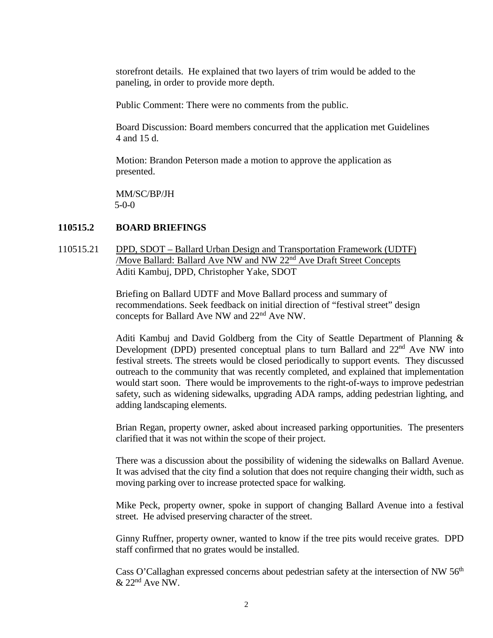storefront details. He explained that two layers of trim would be added to the paneling, in order to provide more depth.

Public Comment: There were no comments from the public.

Board Discussion: Board members concurred that the application met Guidelines 4 and 15 d.

Motion: Brandon Peterson made a motion to approve the application as presented.

MM/SC/BP/JH 5-0-0

#### **110515.2 BOARD BRIEFINGS**

110515.21 DPD, SDOT – Ballard Urban Design and Transportation Framework (UDTF) /Move Ballard: Ballard Ave NW and NW 22<sup>nd</sup> Ave Draft Street Concepts Aditi Kambuj, DPD, Christopher Yake, SDOT

> Briefing on Ballard UDTF and Move Ballard process and summary of recommendations. Seek feedback on initial direction of "festival street" design concepts for Ballard Ave NW and 22nd Ave NW.

Aditi Kambuj and David Goldberg from the City of Seattle Department of Planning & Development (DPD) presented conceptual plans to turn Ballard and 22<sup>nd</sup> Ave NW into festival streets. The streets would be closed periodically to support events. They discussed outreach to the community that was recently completed, and explained that implementation would start soon. There would be improvements to the right-of-ways to improve pedestrian safety, such as widening sidewalks, upgrading ADA ramps, adding pedestrian lighting, and adding landscaping elements.

Brian Regan, property owner, asked about increased parking opportunities. The presenters clarified that it was not within the scope of their project.

There was a discussion about the possibility of widening the sidewalks on Ballard Avenue. It was advised that the city find a solution that does not require changing their width, such as moving parking over to increase protected space for walking.

Mike Peck, property owner, spoke in support of changing Ballard Avenue into a festival street. He advised preserving character of the street.

Ginny Ruffner, property owner, wanted to know if the tree pits would receive grates. DPD staff confirmed that no grates would be installed.

Cass O'Callaghan expressed concerns about pedestrian safety at the intersection of NW  $56<sup>th</sup>$  $& 22<sup>nd</sup>$  Ave NW.